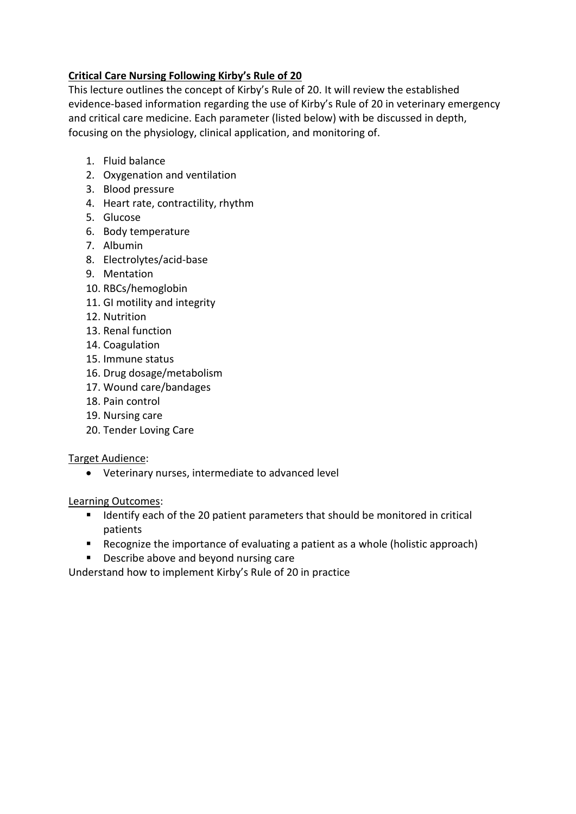# **Critical Care Nursing Following Kirby's Rule of 20**

This lecture outlines the concept of Kirby's Rule of 20. It will review the established evidence-based information regarding the use of Kirby's Rule of 20 in veterinary emergency and critical care medicine. Each parameter (listed below) with be discussed in depth, focusing on the physiology, clinical application, and monitoring of.

- 1. Fluid balance
- 2. Oxygenation and ventilation
- 3. Blood pressure
- 4. Heart rate, contractility, rhythm
- 5. Glucose
- 6. Body temperature
- 7. Albumin
- 8. Electrolytes/acid-base
- 9. Mentation
- 10. RBCs/hemoglobin
- 11. GI motility and integrity
- 12. Nutrition
- 13. Renal function
- 14. Coagulation
- 15. Immune status
- 16. Drug dosage/metabolism
- 17. Wound care/bandages
- 18. Pain control
- 19. Nursing care
- 20. Tender Loving Care

## Target Audience:

• Veterinary nurses, intermediate to advanced level

## Learning Outcomes:

- Identify each of the 20 patient parameters that should be monitored in critical patients
- Recognize the importance of evaluating a patient as a whole (holistic approach)
- Describe above and beyond nursing care

Understand how to implement Kirby's Rule of 20 in practice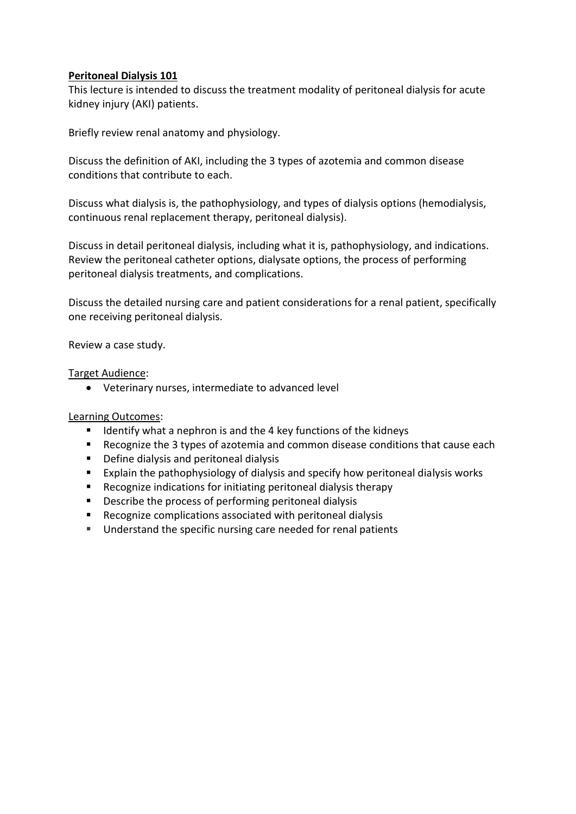#### **Peritoneal Dialysis 101**

This lecture is intended to discuss the treatment modality of peritoneal dialysis for acute kidney injury (AKI) patients.

Briefly review renal anatomy and physiology.

Discuss the definition of AKI, including the 3 types of azotemia and common disease conditions that contribute to each.

Discuss what dialysis is, the pathophysiology, and types of dialysis options (hemodialysis, continuous renal replacement therapy, peritoneal dialysis).

Discuss in detail peritoneal dialysis, including what it is, pathophysiology, and indications. Review the peritoneal catheter options, dialysate options, the process of performing peritoneal dialysis treatments, and complications.

Discuss the detailed nursing care and patient considerations for a renal patient, specifically one receiving peritoneal dialysis.

Review a case study.

#### Target Audience:

• Veterinary nurses, intermediate to advanced level

#### Learning Outcomes:

- Identify what a nephron is and the 4 key functions of the kidneys
- Recognize the 3 types of azotemia and common disease conditions that cause each
- Define dialysis and peritoneal dialysis
- Explain the pathophysiology of dialysis and specify how peritoneal dialysis works
- Recognize indications for initiating peritoneal dialysis therapy
- Describe the process of performing peritoneal dialysis
- Recognize complications associated with peritoneal dialysis
- Understand the specific nursing care needed for renal patients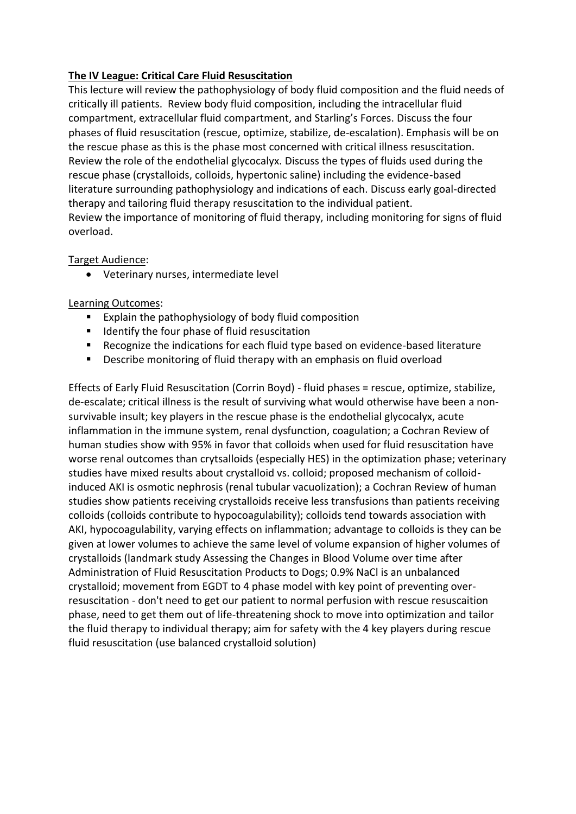## **The IV League: Critical Care Fluid Resuscitation**

This lecture will review the pathophysiology of body fluid composition and the fluid needs of critically ill patients. Review body fluid composition, including the intracellular fluid compartment, extracellular fluid compartment, and Starling's Forces. Discuss the four phases of fluid resuscitation (rescue, optimize, stabilize, de-escalation). Emphasis will be on the rescue phase as this is the phase most concerned with critical illness resuscitation. Review the role of the endothelial glycocalyx. Discuss the types of fluids used during the rescue phase (crystalloids, colloids, hypertonic saline) including the evidence-based literature surrounding pathophysiology and indications of each. Discuss early goal-directed therapy and tailoring fluid therapy resuscitation to the individual patient. Review the importance of monitoring of fluid therapy, including monitoring for signs of fluid overload.

## Target Audience:

• Veterinary nurses, intermediate level

# Learning Outcomes:

- Explain the pathophysiology of body fluid composition
- Identify the four phase of fluid resuscitation
- Recognize the indications for each fluid type based on evidence-based literature
- Describe monitoring of fluid therapy with an emphasis on fluid overload

Effects of Early Fluid Resuscitation (Corrin Boyd) - fluid phases = rescue, optimize, stabilize, de-escalate; critical illness is the result of surviving what would otherwise have been a nonsurvivable insult; key players in the rescue phase is the endothelial glycocalyx, acute inflammation in the immune system, renal dysfunction, coagulation; a Cochran Review of human studies show with 95% in favor that colloids when used for fluid resuscitation have worse renal outcomes than crytsalloids (especially HES) in the optimization phase; veterinary studies have mixed results about crystalloid vs. colloid; proposed mechanism of colloidinduced AKI is osmotic nephrosis (renal tubular vacuolization); a Cochran Review of human studies show patients receiving crystalloids receive less transfusions than patients receiving colloids (colloids contribute to hypocoagulability); colloids tend towards association with AKI, hypocoagulability, varying effects on inflammation; advantage to colloids is they can be given at lower volumes to achieve the same level of volume expansion of higher volumes of crystalloids (landmark study Assessing the Changes in Blood Volume over time after Administration of Fluid Resuscitation Products to Dogs; 0.9% NaCl is an unbalanced crystalloid; movement from EGDT to 4 phase model with key point of preventing overresuscitation - don't need to get our patient to normal perfusion with rescue resuscaition phase, need to get them out of life-threatening shock to move into optimization and tailor the fluid therapy to individual therapy; aim for safety with the 4 key players during rescue fluid resuscitation (use balanced crystalloid solution)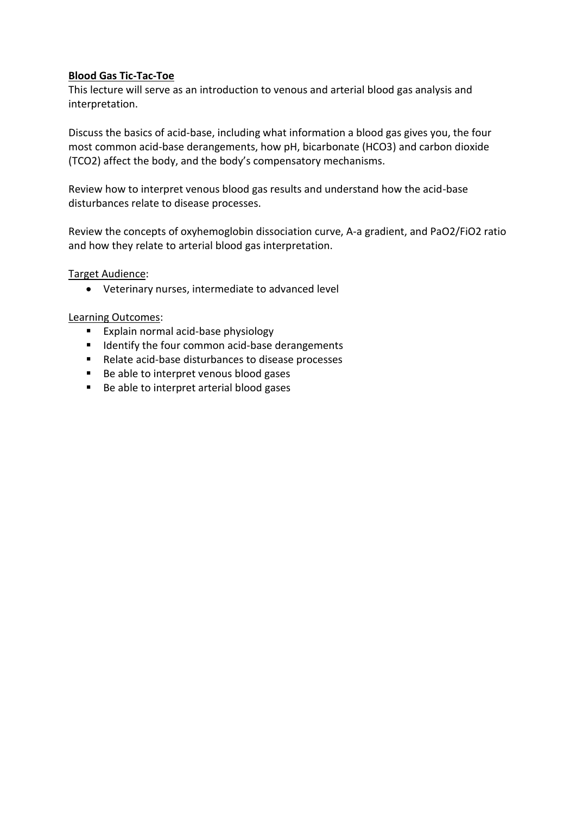#### **Blood Gas Tic-Tac-Toe**

This lecture will serve as an introduction to venous and arterial blood gas analysis and interpretation.

Discuss the basics of acid-base, including what information a blood gas gives you, the four most common acid-base derangements, how pH, bicarbonate (HCO3) and carbon dioxide (TCO2) affect the body, and the body's compensatory mechanisms.

Review how to interpret venous blood gas results and understand how the acid-base disturbances relate to disease processes.

Review the concepts of oxyhemoglobin dissociation curve, A-a gradient, and PaO2/FiO2 ratio and how they relate to arterial blood gas interpretation.

Target Audience:

• Veterinary nurses, intermediate to advanced level

Learning Outcomes:

- Explain normal acid-base physiology
- Identify the four common acid-base derangements
- Relate acid-base disturbances to disease processes
- Be able to interpret venous blood gases
- Be able to interpret arterial blood gases